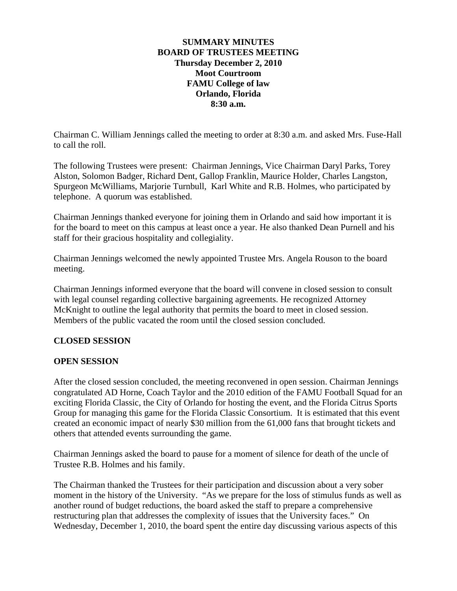#### **SUMMARY MINUTES BOARD OF TRUSTEES MEETING Thursday December 2, 2010 Moot Courtroom FAMU College of law Orlando, Florida 8:30 a.m.**

Chairman C. William Jennings called the meeting to order at 8:30 a.m. and asked Mrs. Fuse-Hall to call the roll.

The following Trustees were present: Chairman Jennings, Vice Chairman Daryl Parks, Torey Alston, Solomon Badger, Richard Dent, Gallop Franklin, Maurice Holder, Charles Langston, Spurgeon McWilliams, Marjorie Turnbull, Karl White and R.B. Holmes, who participated by telephone. A quorum was established.

Chairman Jennings thanked everyone for joining them in Orlando and said how important it is for the board to meet on this campus at least once a year. He also thanked Dean Purnell and his staff for their gracious hospitality and collegiality.

Chairman Jennings welcomed the newly appointed Trustee Mrs. Angela Rouson to the board meeting.

Chairman Jennings informed everyone that the board will convene in closed session to consult with legal counsel regarding collective bargaining agreements. He recognized Attorney McKnight to outline the legal authority that permits the board to meet in closed session. Members of the public vacated the room until the closed session concluded.

### **CLOSED SESSION**

### **OPEN SESSION**

After the closed session concluded, the meeting reconvened in open session. Chairman Jennings congratulated AD Horne, Coach Taylor and the 2010 edition of the FAMU Football Squad for an exciting Florida Classic, the City of Orlando for hosting the event, and the Florida Citrus Sports Group for managing this game for the Florida Classic Consortium. It is estimated that this event created an economic impact of nearly \$30 million from the 61,000 fans that brought tickets and others that attended events surrounding the game.

Chairman Jennings asked the board to pause for a moment of silence for death of the uncle of Trustee R.B. Holmes and his family.

The Chairman thanked the Trustees for their participation and discussion about a very sober moment in the history of the University. "As we prepare for the loss of stimulus funds as well as another round of budget reductions, the board asked the staff to prepare a comprehensive restructuring plan that addresses the complexity of issues that the University faces." On Wednesday, December 1, 2010, the board spent the entire day discussing various aspects of this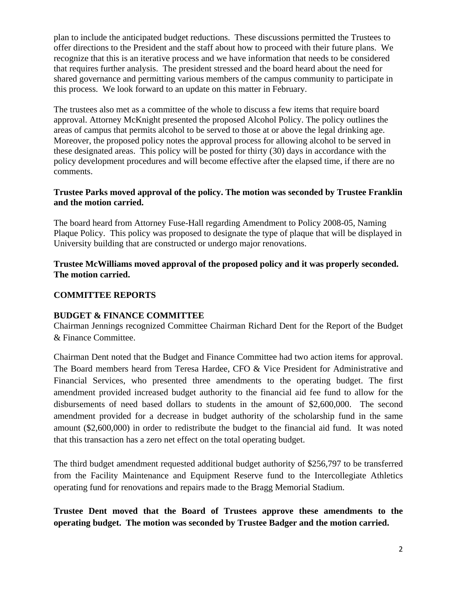plan to include the anticipated budget reductions. These discussions permitted the Trustees to offer directions to the President and the staff about how to proceed with their future plans. We recognize that this is an iterative process and we have information that needs to be considered that requires further analysis. The president stressed and the board heard about the need for shared governance and permitting various members of the campus community to participate in this process. We look forward to an update on this matter in February.

The trustees also met as a committee of the whole to discuss a few items that require board approval. Attorney McKnight presented the proposed Alcohol Policy. The policy outlines the areas of campus that permits alcohol to be served to those at or above the legal drinking age. Moreover, the proposed policy notes the approval process for allowing alcohol to be served in these designated areas. This policy will be posted for thirty (30) days in accordance with the policy development procedures and will become effective after the elapsed time, if there are no comments.

### **Trustee Parks moved approval of the policy. The motion was seconded by Trustee Franklin and the motion carried.**

The board heard from Attorney Fuse-Hall regarding Amendment to Policy 2008-05, Naming Plaque Policy. This policy was proposed to designate the type of plaque that will be displayed in University building that are constructed or undergo major renovations.

## **Trustee McWilliams moved approval of the proposed policy and it was properly seconded. The motion carried.**

## **COMMITTEE REPORTS**

### **BUDGET & FINANCE COMMITTEE**

Chairman Jennings recognized Committee Chairman Richard Dent for the Report of the Budget & Finance Committee.

Chairman Dent noted that the Budget and Finance Committee had two action items for approval. The Board members heard from Teresa Hardee, CFO & Vice President for Administrative and Financial Services, who presented three amendments to the operating budget. The first amendment provided increased budget authority to the financial aid fee fund to allow for the disbursements of need based dollars to students in the amount of \$2,600,000. The second amendment provided for a decrease in budget authority of the scholarship fund in the same amount (\$2,600,000) in order to redistribute the budget to the financial aid fund. It was noted that this transaction has a zero net effect on the total operating budget.

The third budget amendment requested additional budget authority of \$256,797 to be transferred from the Facility Maintenance and Equipment Reserve fund to the Intercollegiate Athletics operating fund for renovations and repairs made to the Bragg Memorial Stadium.

**Trustee Dent moved that the Board of Trustees approve these amendments to the operating budget. The motion was seconded by Trustee Badger and the motion carried.**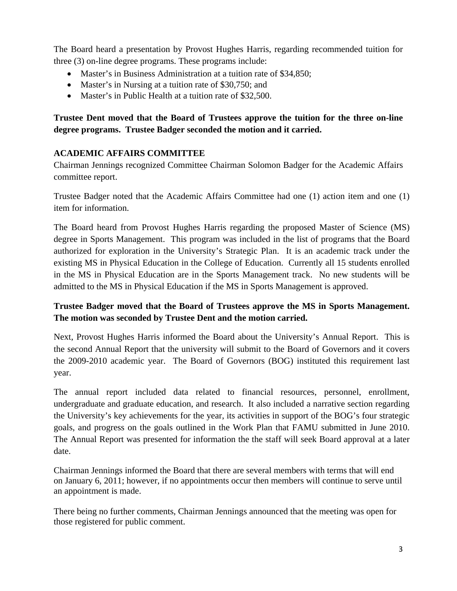The Board heard a presentation by Provost Hughes Harris, regarding recommended tuition for three (3) on-line degree programs. These programs include:

- Master's in Business Administration at a tuition rate of \$34,850;
- Master's in Nursing at a tuition rate of \$30,750; and
- Master's in Public Health at a tuition rate of \$32,500.

# **Trustee Dent moved that the Board of Trustees approve the tuition for the three on-line degree programs. Trustee Badger seconded the motion and it carried.**

## **ACADEMIC AFFAIRS COMMITTEE**

Chairman Jennings recognized Committee Chairman Solomon Badger for the Academic Affairs committee report.

Trustee Badger noted that the Academic Affairs Committee had one (1) action item and one (1) item for information.

The Board heard from Provost Hughes Harris regarding the proposed Master of Science (MS) degree in Sports Management. This program was included in the list of programs that the Board authorized for exploration in the University's Strategic Plan. It is an academic track under the existing MS in Physical Education in the College of Education. Currently all 15 students enrolled in the MS in Physical Education are in the Sports Management track. No new students will be admitted to the MS in Physical Education if the MS in Sports Management is approved.

# **Trustee Badger moved that the Board of Trustees approve the MS in Sports Management. The motion was seconded by Trustee Dent and the motion carried.**

Next, Provost Hughes Harris informed the Board about the University's Annual Report. This is the second Annual Report that the university will submit to the Board of Governors and it covers the 2009-2010 academic year. The Board of Governors (BOG) instituted this requirement last year.

The annual report included data related to financial resources, personnel, enrollment, undergraduate and graduate education, and research. It also included a narrative section regarding the University's key achievements for the year, its activities in support of the BOG's four strategic goals, and progress on the goals outlined in the Work Plan that FAMU submitted in June 2010. The Annual Report was presented for information the the staff will seek Board approval at a later date.

Chairman Jennings informed the Board that there are several members with terms that will end on January 6, 2011; however, if no appointments occur then members will continue to serve until an appointment is made.

There being no further comments, Chairman Jennings announced that the meeting was open for those registered for public comment.